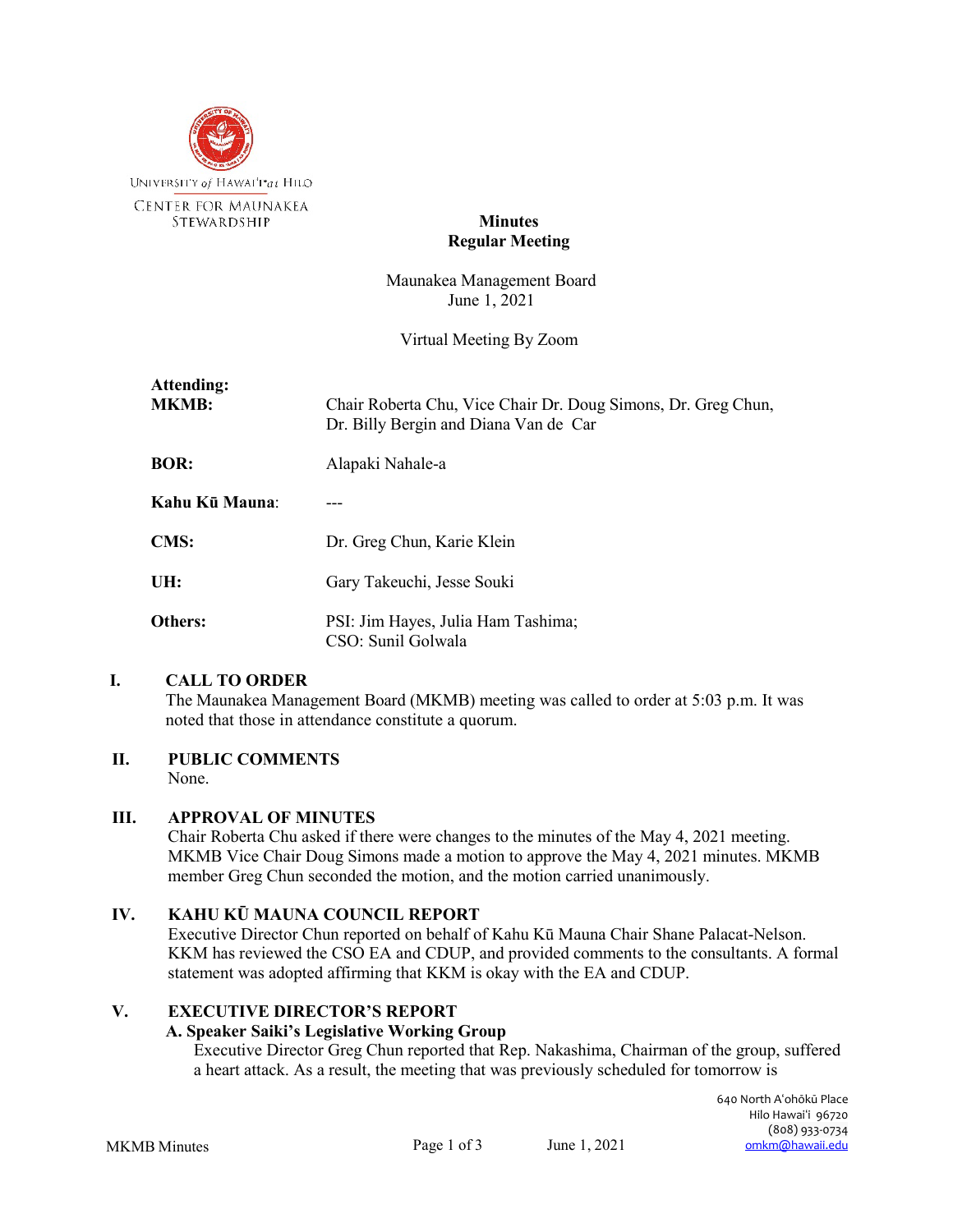

# **Minutes Regular Meeting**

Maunakea Management Board June 1, 2021

Virtual Meeting By Zoom

| Attending:<br><b>MKMB:</b> | Chair Roberta Chu, Vice Chair Dr. Doug Simons, Dr. Greg Chun,<br>Dr. Billy Bergin and Diana Van de Car |
|----------------------------|--------------------------------------------------------------------------------------------------------|
| <b>BOR:</b>                | Alapaki Nahale-a                                                                                       |
| Kahu Kū Mauna:             |                                                                                                        |
| <b>CMS:</b>                | Dr. Greg Chun, Karie Klein                                                                             |
| UH:                        | Gary Takeuchi, Jesse Souki                                                                             |
| <b>Others:</b>             | PSI: Jim Hayes, Julia Ham Tashima;<br>CSO: Sunil Golwala                                               |

## **I. CALL TO ORDER**

The Maunakea Management Board (MKMB) meeting was called to order at 5:03 p.m. It was noted that those in attendance constitute a quorum.

# **II. PUBLIC COMMENTS**

None.

## **III. APPROVAL OF MINUTES**

Chair Roberta Chu asked if there were changes to the minutes of the May 4, 2021 meeting. MKMB Vice Chair Doug Simons made a motion to approve the May 4, 2021 minutes. MKMB member Greg Chun seconded the motion, and the motion carried unanimously.

## **IV. KAHU KŪ MAUNA COUNCIL REPORT**

Executive Director Chun reported on behalf of Kahu Kū Mauna Chair Shane Palacat-Nelson. KKM has reviewed the CSO EA and CDUP, and provided comments to the consultants. A formal statement was adopted affirming that KKM is okay with the EA and CDUP.

## **V. EXECUTIVE DIRECTOR'S REPORT**

## **A. Speaker Saiki's Legislative Working Group**

Executive Director Greg Chun reported that Rep. Nakashima, Chairman of the group, suffered a heart attack. As a result, the meeting that was previously scheduled for tomorrow is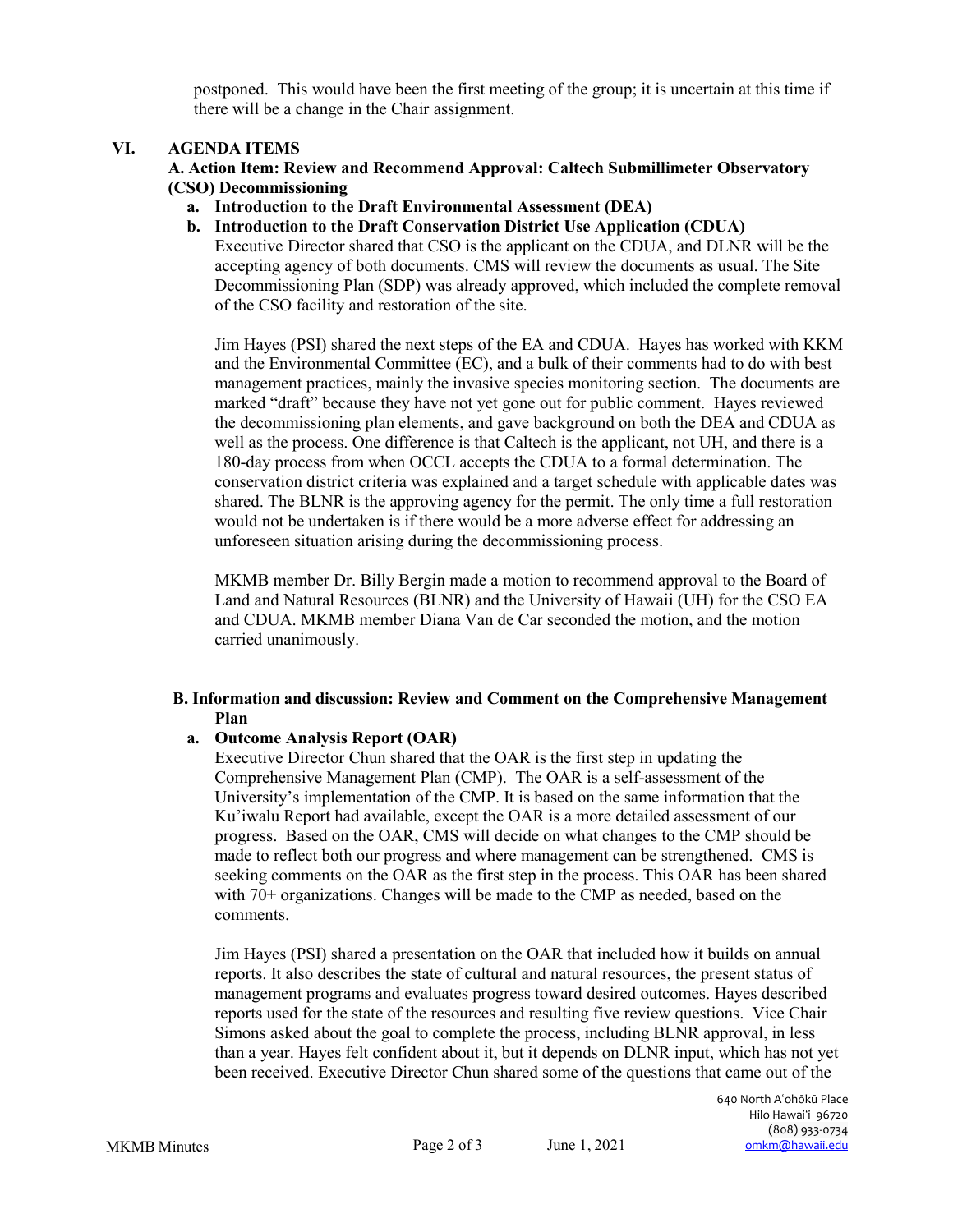postponed. This would have been the first meeting of the group; it is uncertain at this time if there will be a change in the Chair assignment.

## **VI. AGENDA ITEMS**

**A. Action Item: Review and Recommend Approval: Caltech Submillimeter Observatory (CSO) Decommissioning**

- **a. Introduction to the Draft Environmental Assessment (DEA)**
- **b. Introduction to the Draft Conservation District Use Application (CDUA)** Executive Director shared that CSO is the applicant on the CDUA, and DLNR will be the accepting agency of both documents. CMS will review the documents as usual. The Site Decommissioning Plan (SDP) was already approved, which included the complete removal of the CSO facility and restoration of the site.

Jim Hayes (PSI) shared the next steps of the EA and CDUA. Hayes has worked with KKM and the Environmental Committee (EC), and a bulk of their comments had to do with best management practices, mainly the invasive species monitoring section. The documents are marked "draft" because they have not yet gone out for public comment. Hayes reviewed the decommissioning plan elements, and gave background on both the DEA and CDUA as well as the process. One difference is that Caltech is the applicant, not UH, and there is a 180-day process from when OCCL accepts the CDUA to a formal determination. The conservation district criteria was explained and a target schedule with applicable dates was shared. The BLNR is the approving agency for the permit. The only time a full restoration would not be undertaken is if there would be a more adverse effect for addressing an unforeseen situation arising during the decommissioning process.

MKMB member Dr. Billy Bergin made a motion to recommend approval to the Board of Land and Natural Resources (BLNR) and the University of Hawaii (UH) for the CSO EA and CDUA. MKMB member Diana Van de Car seconded the motion, and the motion carried unanimously.

# **B. Information and discussion: Review and Comment on the Comprehensive Management Plan**

# **a. Outcome Analysis Report (OAR)**

Executive Director Chun shared that the OAR is the first step in updating the Comprehensive Management Plan (CMP). The OAR is a self-assessment of the University's implementation of the CMP. It is based on the same information that the Ku'iwalu Report had available, except the OAR is a more detailed assessment of our progress. Based on the OAR, CMS will decide on what changes to the CMP should be made to reflect both our progress and where management can be strengthened. CMS is seeking comments on the OAR as the first step in the process. This OAR has been shared with 70+ organizations. Changes will be made to the CMP as needed, based on the comments.

Jim Hayes (PSI) shared a presentation on the OAR that included how it builds on annual reports. It also describes the state of cultural and natural resources, the present status of management programs and evaluates progress toward desired outcomes. Hayes described reports used for the state of the resources and resulting five review questions. Vice Chair Simons asked about the goal to complete the process, including BLNR approval, in less than a year. Hayes felt confident about it, but it depends on DLNR input, which has not yet been received. Executive Director Chun shared some of the questions that came out of the